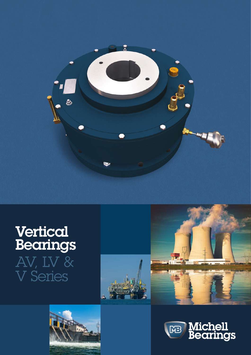

# Vertical Bearings AV, LV & V Series







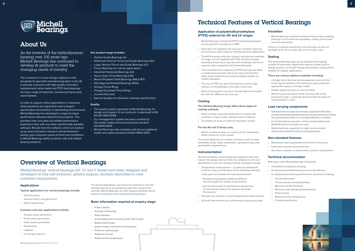

## About Us

As the inventor of the hydrodynamic bearing over 100 years ago, Michell Bearings has continued to develop its products to meet the changing needs of industry.

The company's in-house design engineers work alongside its specialist manufacturing team in the UK to provide customers with high quality, innovative hydrodynamic white metal and PTFE lined bearings serving a range of industrial, commercial marine and naval markets.

- Vertical Guide Bearings (V)
- Advanced Vertical Thrust and Guide Bearings (AV)
- Large Vertical Thrust and Guide Bearings (LV)
- Thrust Bearings for marine applications
- Industrial Horizontal Bearings (IH)
- Heavy Duty Thrust Bearings (HD)
- Marine Propeller Shaft Bearings (MA & MT)
- Self-aligning Pedestal Bearings (NSA)
- Omega Thrust Rings
- Omega Equalised Thrust Rings
- Journal Pad Units
- Special designs to individual customer specification

In order to support critical applications in industries where products are required to meet stringent specifications and perform in demanding environments, Michell Bearings has developed a range of unique performance software tailored to its products. This provides more accurate and reliable performance predictions than with any other commercially available software. Results from the software, which are backed up by years of product research and development testing, give customers peace of mind and confidence in Michell Bearings ability to deliver safe and reliable bearing solutions.

#### **Our product range includes:**

#### **Quality**

- The quality system operated at Michell Bearings for design and support of our products is approved to BS EN ISO 9001:2008
- Our management system has been certified to the health, safety and environmental standard ISO14001:2004
- Michell Bearings also complies with the occupational health and safety standard OHSAS 18001:2007.

## Overview of Vertical Bearings

## Technical Features of Vertical Bearings

**3**

#### **Applications**

**Typical applications for vertical bearings include:** 

- Vertical pumps
- Vertical motors and generators
- Hydro applications

#### **Common end user applications include:**

- Nuclear power generation
- Fossil power generation
- Hydro power generation
- Desalination
- Irrigation
- Oil and gas industry

#### **Application of polytetrafluoroethylene (PTFE) material for AV and LV ranges**

- Michell Bearings introduced PTFE lined bearing designs into its portfolio of products in 1995
- Since then the company has built up a sizeable reference list covering a wide variety of rotating machine applications
- The AV10 bearing and sizes upward, and also the complete LV range, can be supplied with PTFE lined thrust pads, allowing the bearing to operate with increased axial thrust capacity when compared with whitemetal pads
- The increased thrust capacity of PTFE bearings can allow a smaller bearing frame size to be used and therefore lower power losses due to reduced sliding speeds on smaller diameters
- The use of PTFE can also eliminate the need for high pressure oil lift (jacking) in the lower thrust face
- Both of these points can have considerable cost benefits for both the OEM and the end user

#### **Cooling**

**The Vertical Bearing range offers three types of cooling methods:**

- Water cooling using high performance cooling coils available in cupro nickel, stainless steel or titanium
- Circulating oil using an external lubrication system

#### **For the AV and V Series only**

• Where conditions allow, air cooing can be considered, either natural air or fan cooled

The choice depends on a number of factors, such as water availability at site, water composition, operational duty and specification requirements.

#### **Instrumentation**

All instrumentation can be physically supplied or provision made in the design and can either be compliant to end user specification or our own standard design. Examples include:

- Temperature measurement oil bath and whitemetal surfaces using a combination of the following methods:
- Dial type thermometer for local measurement
- Resistance temperature detector (RTD) or thermocouples for remote measurement
- Use of thermowells to facilitate the replacement of instruments without the need to dismantle the bearing
- Provision for vibration or shaft displacement measurement
- Oil level float switches for monitoring the bearing oil level

#### **Insulation**

• Michell Bearings standard method of electrically insulating bearings is to insulate the baseplate, cooling connections and instrumentation.

If there is a special requirement, the bearings can also be insulated at the thrust collar (AV and LV Series only).

#### **Sealing**

The Vertical Bearing range can be provided with sealing suitable for prevention against the ingress of water, dust or foreign particles, to meet IP ratings and therefore making them suitable for outdoor applications.

#### **There are various options available including:**

- A flinger and a felt dust seal arrangement can be fitted to the top and bottom of the bearing to give protection against the ingress of foreign matter
- Rubber lipped oil seals can also be fitted
- Where suction pressures at the machine side of the bearing are high, a separate seal assembly for pressure compensation is used

- A detailed arrangement drawing
- An Operating and Maintenance Instruction Manual
- A comprehensive bearing performance prediction including:
	- Oil viscosity grade
	- Thrust and journal pad geometry
	- Minimum oil film thickness
	- Maximum pad operating temperatures
	- Power losses
	- Bearing oil bath temperature
	- Cooling requirement



#### **Load carrying components**

- Downward thrust loads are normally supported with offset pivoted whitemetal (babbitt) lined thrust pads positioned below the bearing thrust collar for a principal direction of rotation
- For bi-directional operation, centre pivoted whitemetal (babbitt) lined thrust pads are used
- Radial loads are supported on eight centre pivoted whitemetal (babbitt) lined journal (guide) pads

#### **Non-standard features**

- Mechanical load equalisation of the lower thrust face
- Load measurement using load cells
- Any other customer or specification specific requirements

#### **Technical documentation**

With every order Michell Bearings will provide:

Michell Bearings' vertical bearings (AV, LV and V Series) have been designed and developed as fully self-contained, general purpose, modular assemblies to meet customer's requirements.

> For special applications, and where the preference is for the bearing internals to be positioned within the casing of the machine, Michell Bearings can offer bespoke bearing internal solutions and special self-contained bearing designs.

**2**

#### **Basic information required at enquiry stage:**

- Project details
- Quantity of bearings
- $\cdot$  Shaft diameter
- Axial loading data including shaft rotor weight
- Radial loading data
- Speed ranges, directions and durations
- Preferred cooling type
- Preferred oil type
- Water/oil inlet temperature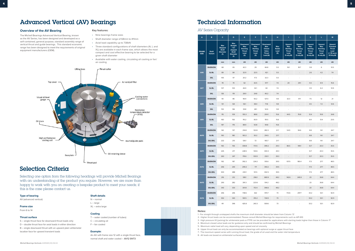## Advanced Vertical (AV) Bearings

#### **Overview of the AV Bearing**

The Michell Bearings Advanced Vertical Bearing, known as the AV Series, has been designed and developed as a self-contained, general purpose, standard assembly range of vertical thrust and guide bearings. This standard economic range has been designed to meet the requirements of original equipment manufacturers (OEM).

#### **Key features:**

- Nine bearings frame sizes
- Shaft diameter range of 68mm to 411mm
- Axial load capability up to 738kN
- Three standard configurations of shaft diameters (N, L and XL) are available in each frame size, which allows the most compact and cost effective bearing to be selected for a given shaft diameter
- Available with water cooling, circulating oil cooling or fan/ air cooling



## Selection Criteria

Selecting one option from the following headings will provide Michell Bearings with an understanding of the product you require. However, we are more than happy to work with you on creating a bespoke product to meet your needs; if this is the case please contact us.

#### **Type of bearing**

AV (advanced vertical)

#### **Frame size**

From 6 to 14

#### **Thrust surface**

S – single thrust face for downward thrust loads only D – double thrust face for axial loads in either direction B – single downward thrust with an upward plain whitemetal location face for upward transient loads

#### **Shaft details**

N – normal L – large XL – extra large

#### **Cooling**

T – water cooled (number of tubes) C – circulating oil F – fan cooled

#### **Example:**

An AV with frame size 12 with a single thrust face, normal shaft and water cooled – **AV12 SNT3**

## Technical Information

AV Series Capacity

| A                           | $\mathbf{B}$            | $\mathbf{C}$                                                           | D                                                                                           | E                                                          | F                                                                                | G                                                                               | н                                   | T.                                                                             | J                                                                             | $\mathbf K$                                                                    | L.                                                                            | ${\sf M}$                                                                                   |
|-----------------------------|-------------------------|------------------------------------------------------------------------|---------------------------------------------------------------------------------------------|------------------------------------------------------------|----------------------------------------------------------------------------------|---------------------------------------------------------------------------------|-------------------------------------|--------------------------------------------------------------------------------|-------------------------------------------------------------------------------|--------------------------------------------------------------------------------|-------------------------------------------------------------------------------|---------------------------------------------------------------------------------------------|
| <b>FRAME</b><br><b>SIZE</b> | <b>Shaft</b><br>Variant | <b>Max</b><br><b>Stepped</b><br><b>Shaft</b><br><b>Diameter</b><br>(1) | <b>Max</b><br><b>Straight</b><br>/ Un-<br>stepped<br><b>Shaft</b><br><b>Diameter</b><br>(1) | Downward<br>Max<br>Running<br><b>Thrust</b><br>Load<br>(2) | <b>Downward</b><br><b>Max</b><br><b>Starting</b><br><b>Thrust</b><br>Load<br>(3) | <b>Downward</b><br><b>Max</b><br>Closed<br>Valve<br><b>Thrust</b><br>Load $(4)$ | <b>Max</b><br>Radial<br>Load<br>(5) | <b>Upward</b><br>Max<br><b>Starting</b><br><b>Thrust</b><br>Load<br>D only (6) | <b>Upward</b><br><b>Max</b><br>Running<br><b>Thrust</b><br>Load<br>D only (6) | <b>Upward</b><br>Max<br><b>Starting</b><br><b>Thrust</b><br>Load<br>B only (6) | <b>Upward</b><br><b>Max</b><br>Running<br><b>Thrust</b><br>Load<br>B only (6) | <b>Upward</b><br><b>Transient</b><br><b>Thrust</b><br>Load<br>$\le$ =10 secs)<br>B Only (6) |
|                             |                         | mm                                                                     | mm                                                                                          | kN                                                         | kN                                                                               | kN                                                                              | kN                                  | kN                                                                             | kN                                                                            | kN                                                                             | kN                                                                            | kN                                                                                          |
|                             | SN/BN/DN                | 68                                                                     | 65                                                                                          | 42.3                                                       | 29                                                                               | 66.8                                                                            | 5.5                                 | 16.1                                                                           | 18.7                                                                          | 3.8                                                                            | 6                                                                             | 10.5                                                                                        |
| AV <sub>6</sub>             | SL/BL                   | 89                                                                     | 84                                                                                          | 32.9                                                       | 22.5                                                                             | 42.1                                                                            | 5.5                                 | $\sim$                                                                         | ÷,                                                                            | 2.6                                                                            | 4.2                                                                           | 7.4                                                                                         |
|                             | <b>SXL</b>              | 105                                                                    | 97                                                                                          | 20.2                                                       | 17.3                                                                             | 32.3                                                                            | 5.5                                 | $\overline{\phantom{a}}$                                                       | i,                                                                            | $\overline{\phantom{a}}$                                                       | $\blacksquare$                                                                | $\overline{\phantom{a}}$                                                                    |
|                             | SN/BN/DN                | 78                                                                     | 74                                                                                          | 62                                                         | 42.5                                                                             | 97.7                                                                            | 7.4                                 | 20                                                                             | 29.1                                                                          | 5.5                                                                            | 8.9                                                                           | 15.6                                                                                        |
| AV7                         | SL/BL                   | 107                                                                    | 100                                                                                         | 46.9                                                       | 32.1                                                                             | 60                                                                              | 7.4                                 | ä,                                                                             | $\overline{\phantom{a}}$                                                      | 3.9                                                                            | 6.2                                                                           | 10.9                                                                                        |
|                             | <b>SXL</b>              | 126                                                                    | 119                                                                                         | 28.9                                                       | 24.8                                                                             | 46.2                                                                            | 7.4                                 | $\overline{a}$                                                                 | ÷,                                                                            | $\overline{\phantom{a}}$                                                       | $\sim$                                                                        | $\overline{\phantom{a}}$                                                                    |
|                             | SN/BN/DN                | 90                                                                     | 86                                                                                          | 96.9                                                       | 55.2                                                                             | 127.3                                                                           | 9.8                                 | 32.3                                                                           | 47.1                                                                          | 7.5                                                                            | 12                                                                            | 21                                                                                          |
| AV <sub>8</sub>             | SL/BL                   | 131                                                                    | 124                                                                                         | 56.1                                                       | 38.4                                                                             | 71.8                                                                            | 9.8                                 |                                                                                | $\overline{a}$                                                                | 4.5                                                                            | 7.2                                                                           | 12.6                                                                                        |
|                             | <b>SXL</b>              | 153                                                                    | 146                                                                                         | 39.8                                                       | 28.1                                                                             | 52.6                                                                            | 9.8                                 | ÷.                                                                             | i,                                                                            | $\overline{\phantom{a}}$                                                       | ä,                                                                            |                                                                                             |
|                             | SN/BN/DN                | 115                                                                    | 109                                                                                         | 155.3                                                      | 88.8                                                                             | 204.1                                                                           | 15.6                                | 44.5                                                                           | 76.8                                                                          | 12.4                                                                           | 19.9                                                                          | 34.8                                                                                        |
| AV9                         | SL/BL                   | 160                                                                    | 150                                                                                         | 115.2                                                      | 65.9                                                                             | 151.5                                                                           | 15.6                                |                                                                                |                                                                               | 8.4                                                                            | 13.4                                                                          | 23.5                                                                                        |
|                             | <b>SXL</b>              | 187                                                                    | 176                                                                                         | 88.9                                                       | 50.8                                                                             | 94.8                                                                            | 15.6                                |                                                                                |                                                                               | $\overline{\phantom{a}}$                                                       | $\sim$                                                                        | $\overline{\phantom{a}}$                                                                    |
|                             | SN/BN/DN                | 142                                                                    | 137                                                                                         | 214.8                                                      | 122.8                                                                            | 282.3                                                                           | 21.7                                | 54.9                                                                           | 94.6                                                                          | 8.8                                                                            | 14.1                                                                          | 24.7                                                                                        |
| <b>AV10</b>                 | SL/BL                   | 190                                                                    | 180                                                                                         | 163.2                                                      | 93.2                                                                             | 214.5                                                                           | 21.7                                |                                                                                |                                                                               | 8.8                                                                            | 14.1                                                                          | 24.7                                                                                        |
|                             | SXL/BXL                 | 222                                                                    | 213                                                                                         | 126.1                                                      | 72                                                                               | 165.7                                                                           | 21.7                                |                                                                                | i,                                                                            | 8.8                                                                            | 14.1                                                                          | 24.7                                                                                        |
|                             | SN/BN/DN                | 165                                                                    | 156                                                                                         | 308.8                                                      | 173.5                                                                            | 399.2                                                                           | 29.3                                | 86.5                                                                           | 149.1                                                                         | 12.7                                                                           | 20.3                                                                          | 35.5                                                                                        |
| <b>AV11</b>                 | SL/BL                   | 225                                                                    | 217                                                                                         | 228.5                                                      | 130.6                                                                            | 300.3                                                                           | 29.3                                | $\sim$                                                                         | ä,                                                                            | 12.7                                                                           | 20.3                                                                          | 35.5                                                                                        |
|                             | SXL/BXL                 | 263                                                                    | 247                                                                                         | 176.6                                                      | 100.9                                                                            | 232.1                                                                           | 29.3                                |                                                                                | $\overline{a}$                                                                | 12.7                                                                           | 20.3                                                                          | 35.5                                                                                        |
|                             | SN/BN/DN                | 192                                                                    | 187                                                                                         | 392.2                                                      | 224.2                                                                            | 515.6                                                                           | 39.5                                | 107.5                                                                          | 185.4                                                                         | 17.3                                                                           | 27.7                                                                          | 48.5                                                                                        |
| AV12                        | SL/BL                   | 256                                                                    | 244                                                                                         | 299.2                                                      | 171                                                                              | 393.2                                                                           | 39.5                                |                                                                                |                                                                               | 17.3                                                                           | 27.7                                                                          | 48.5                                                                                        |
|                             | SXL/BXL                 | 300                                                                    | 288                                                                                         | 230.1                                                      | 131.5                                                                            | 302.5                                                                           | 39.5                                | $\sim$                                                                         | $\overline{\phantom{a}}$                                                      | 17.3                                                                           | 27.7                                                                          | 48.5                                                                                        |
|                             | SN/BN/DN                | 216                                                                    | 212                                                                                         | 518.1                                                      | 296.1                                                                            | 680.9                                                                           | 48.2                                | 142.6                                                                          | 245.9                                                                         | 23                                                                             | 36.8                                                                          | 64.4                                                                                        |
| <b>AV13</b>                 | SL/BL                   | 293                                                                    | 282                                                                                         | 391.3                                                      | 223.6                                                                            | 514.2                                                                           | 48.2                                | $\overline{\phantom{a}}$                                                       | $\overline{\phantom{a}}$                                                      | 23                                                                             | 36.8                                                                          | 64.4                                                                                        |
|                             | SXL/BXL                 | 343                                                                    | 333                                                                                         | 301.8                                                      | 172.4                                                                            | 396.6                                                                           | 48.2                                |                                                                                | $\overline{a}$                                                                | 23                                                                             | 36.8                                                                          | 64.4                                                                                        |
|                             | SN/BN/DN                | 256                                                                    | 246                                                                                         | 738.6                                                      | 422                                                                              | 970.7                                                                           | 73                                  | 172.6                                                                          | 297.7                                                                         | 33.2                                                                           | 53.1                                                                          | 92.9                                                                                        |
| <b>AV14</b>                 | SL/BL                   | 352                                                                    | 343                                                                                         | 551.5                                                      | 315.2                                                                            | 724.9                                                                           | 73                                  |                                                                                | $\frac{1}{2}$                                                                 | 33.2                                                                           | 53.1                                                                          | 92.9                                                                                        |
|                             | SXL/BXL                 | 411                                                                    | 396                                                                                         | 425.8                                                      | 243.3                                                                            | 559.6                                                                           | 73                                  |                                                                                | $\overline{\phantom{a}}$                                                      | 33.2                                                                           | 53.1                                                                          | 92.9                                                                                        |

#### **Notes:**

- 1 For straight through unstepped shafts the maximum shaft diameter should be taken from Column 'D'
- 2 Higher thrust loads can be accommodated. Please consult Michell Bearings for requirements such as API 610
- 3 High pressure lift (jacking) for whitemetal pads or PTFE can be provided for applications with starting loads higher than those in Column 'F'
- 4 Maximum closed valve loads are for guidance only and should be confirmed by Michell Bearings
- 5 Maximum radial load will vary, depending upon speed and oil viscosity
- 6 Upper thrust load can only be accommodated on bearings with optional surge or upper thrust face
- 7 The maximum speed varies with running thrust load, the grade of oil used and the water inlet temperature
- 8 All loads are based on whitemetal surfaced pads.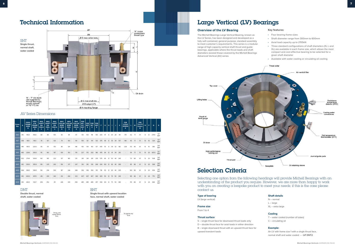## Technical Information

 $\alpha$ "R" cooler connections<br>thread type ØE Ø D max collar bore SNT **Single thrust, normal shaft, water cooled** ᠯᠴ - Oil drain 'N' – 'P' dia studs<br>(not supplied by<br>Michell Bearings) Ø C max shaft dia equally spaced<br>on "Q" P.C.dia Ø B spigot (h7) Ø A mounting flange

### BNT

**Single thrust with upward location face, normal shaft, water cooled**



DNT

**Double thrust, normal shaft, water cooled**



| Frame<br>Size    | А   | <b>FOR N</b><br><b>FRAME</b><br><b>SIZES</b><br>в | <b>FOR L</b><br>& XL<br><b>FRAME</b><br><b>SIZES</b><br>B | <b>MAX</b><br><b>SHAFT</b><br><b>DIA</b><br><b>FOR N</b><br>c. | <b>MAX</b><br><b>SHAFT</b><br><b>DIA</b><br><b>FOR L</b><br>c | <b>MAX</b><br><b>SHAFT</b><br><b>DIA</b><br><b>FOR XL</b><br>c | <b>MAX</b><br><b>COLLAR</b><br><b>BORE</b><br><b>FOR N</b><br>D | <b>MAX</b><br><b>COLLAR</b><br><b>BORE</b><br><b>FOR L</b><br>D | <b>MAX</b><br><b>COLLAR</b><br><b>BORE</b><br><b>FOR XL</b><br>D | <b>FOR</b><br>SNT,<br>SLT,<br><b>SXLT</b><br>Е | <b>FOR</b><br><b>BNT</b><br>E. | <b>FOR</b><br><b>BLT</b><br>E. | $ $ FOR<br><b>DNT</b><br>Е | F.  | G.  | н  |    | J  | K   | <b>FOR</b><br>2 POLE<br><b>SPEEDS</b><br>к |     | M  | <b>FOR</b><br>T2&T3<br><b>Coolers</b><br>M | N               | P  | $\Omega$ | R.                 |
|------------------|-----|---------------------------------------------------|-----------------------------------------------------------|----------------------------------------------------------------|---------------------------------------------------------------|----------------------------------------------------------------|-----------------------------------------------------------------|-----------------------------------------------------------------|------------------------------------------------------------------|------------------------------------------------|--------------------------------|--------------------------------|----------------------------|-----|-----|----|----|----|-----|--------------------------------------------|-----|----|--------------------------------------------|-----------------|----|----------|--------------------|
| AV <sub>6</sub>  | 310 | 140.0                                             | 169.0                                                     | 68                                                             | 89                                                            | 105                                                            | 65                                                              | 84                                                              | 97                                                               | 133                                            | 103                            | 118                            | 105                        | 330 | 47  | 8  | 30 | 28 | 141 | 174                                        | 42  | 71 | 51                                         | 8               | 12 | 279.5    | 1/2"<br><b>BSP</b> |
| AV7              | 358 | 165.1                                             | 191.0                                                     | 78                                                             | 107                                                           | 126                                                            | 74                                                              | 100                                                             | 119                                                              | 159                                            | 121                            | 141                            | 133                        | 375 | 49  | 8  | 35 | 34 | 157 | 196                                        | 45  | 71 | 51                                         | 10 <sup>°</sup> | 16 | 324      | 1/2"<br><b>BSP</b> |
| AV <sub>8</sub>  | 418 | 190.5                                             | 220.0                                                     | 90                                                             | 131                                                           | 153                                                            | 86                                                              | 124                                                             | 146                                                              | 183                                            |                                | 163                            | 13.                        | 435 | 55  |    | 38 | 32 | 182 | 228                                        | 50  | 86 | 61                                         | 10              | 16 | 380      | 3/4"<br><b>BSP</b> |
| AV9              | 460 | 228.6                                             | 256.0                                                     | 115                                                            | 160                                                           | 187                                                            | 109                                                             | 150                                                             | 176                                                              | 227                                            | 170                            | 202                            | 186                        | 476 | 64  | 12 | 41 | 34 | 210 |                                            | 54  | 71 | 51                                         | 10 <sup>°</sup> | 20 | 425.5    | 1/2"<br><b>BSP</b> |
| AV <sub>10</sub> | 552 | 279.4                                             | 309.9                                                     | 142                                                            | 190                                                           | 222                                                            | 137                                                             | 180                                                             | 213                                                              | 261                                            | 261                            | 261                            | 235                        | 575 | 80  | 12 | 50 | 40 | 245 |                                            | 70  | 86 | 61                                         | 12              | 20 | 508      | 3/4"<br><b>BSP</b> |
| <b>AV11</b>      | 610 | 330.0                                             | 355.9                                                     | 165                                                            | 225                                                           | 263                                                            | 156                                                             | 217                                                             | 247                                                              | 310                                            | 310                            | 310                            | 268                        | 630 | 100 | 12 | 60 | 40 | 280 |                                            | 85  | 86 | 61                                         | 12              | 20 | 568      | 3/4"<br><b>BSP</b> |
| <b>AV12</b>      | 698 | 368.0                                             | 398.9                                                     | 192                                                            | 256                                                           | 300                                                            | 187                                                             | 244                                                             | 288                                                              | 356                                            | 356                            | 356                            | 315                        | 718 | 110 | 12 | 65 | 40 | 305 |                                            | 100 | 86 | 61                                         | 12              | 20 | 654      | 3/4"<br><b>BSP</b> |
| AV <sub>13</sub> | 813 | 400.0                                             | 457.0                                                     | 216                                                            | 293                                                           | 343                                                            | 212                                                             | 282                                                             | 333                                                              | 407                                            | 407                            | 407                            | 360                        | 825 | 110 | 12 | 70 | 50 | 345 |                                            | 105 | 86 | 61                                         | 12              | 24 | 770      | 3/4"<br><b>BSP</b> |
| <b>AV14</b>      | 914 | 440.0                                             | 532.7                                                     | 256                                                            | 352                                                           | 411                                                            | 246                                                             | 343                                                             | 396                                                              | 485                                            |                                | 485                            | 457                        | 938 | 120 | 12 | 75 | 50 | 380 |                                            |     |    | 61                                         | 12              | 24 | 864      | 3/4"<br><b>BSP</b> |

### AV Series Dimensions

## Large Vertical (LV) Bearings

### **Overview of the LV Bearing**

The Michell Bearings Large Vertical Bearing, known as the LV Series, has been designed and developed as a fully self-contained, general purpose, standard assembly to meet customer's requirements. This series is a modular range of high capacity vertical shaft thrust and guide bearings, applicable where the thrust loads and shaft diameters exceed those covered by the Michell Bearings Advanced Vertical (AV) series.



#### **Key features:**

- Four bearing frame sizes
- Shaft diameter range from 300mm to 600mm
- Axial load capacity up to 2155kN
- Three standard configurations of shaft diameters (N, L and XL) are available in each frame size, which allows the most compact and cost effective bearing to be selected for a given shaft diameter
- Available with water cooling or circulating oil cooling

#### Thrust collar

## Selection Criteria

Selecting one option from the following headings will provide Michell Bearings with an understanding of the product you require. However, we are more than happy to work with you on creating a bespoke product to meet your needs; if this is the case please contact us.

#### **Type of bearing**

LV (large vertical)

#### **Frame size**

From 1 to 4

#### **Thrust surface**

- S single thrust face for downward thrust loads only
- D double thrust face for axial loads in either direction
- B single downward thrust with an upward thrust face for upward transient loads

#### **Shaft details**

N – normal L – large XL – extra large

#### **Cooling**

T – water cooled (number of tubes) C – circulating oil

#### **Example:**

An LV with frame size 1 with a single thrust face, normal shaft and water cooled – **LV1 SNT2**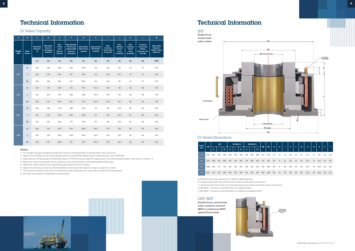### LV Series Capacity SNT

## Technical Information Technical Information

| $\overline{\mathsf{A}}$     | $\mathbf B$                    | $\mathbf{C}$                               | D                                                                      | E.                                                               | F.                                                                                   | $\mathbf{G}$                                        | H                                           | Т                                                         | J                                                                    | $\mathbf k$                                                  | L.                                                                                    | M                                                                   |
|-----------------------------|--------------------------------|--------------------------------------------|------------------------------------------------------------------------|------------------------------------------------------------------|--------------------------------------------------------------------------------------|-----------------------------------------------------|---------------------------------------------|-----------------------------------------------------------|----------------------------------------------------------------------|--------------------------------------------------------------|---------------------------------------------------------------------------------------|---------------------------------------------------------------------|
| <b>FRAME</b><br><b>SIZE</b> | <b>Shaft</b><br><b>Variant</b> | <b>Max Shaft</b><br><b>Diameter</b><br>(1) | <b>Max Collar</b><br><b>Bore for</b><br><b>Unstepped</b><br>Shafts (1) | <b>Max</b><br><b>Thrust</b><br>Load<br><b>Normal</b><br>Duty (2) | <b>Max Starting</b><br><b>Thrust Load</b><br>without High<br>Pressure<br>Jacking (3) | <b>Max Closed</b><br><b>Valve Thrust</b><br>Load(4) | Approximate<br><b>Max Radial</b><br>Load(5) | <b>Max</b><br>Running<br><b>Thrust Load</b><br>D only (6) | <b>Max</b><br><b>Starting</b><br><b>Thrust</b><br>Load<br>D only (6) | <b>Max</b><br>Running<br><b>Thrust</b><br>Load<br>B only (6) | <b>Transient</b><br><b>Thrust Load</b><br><b>B</b> Only<br>(Duration <10<br>secs) (6) | <b>Approx Max</b><br>Speed for<br><b>Water Cooled</b><br>Option (7) |
|                             |                                | mm                                         | mm                                                                     | kN                                                               | kN                                                                                   | kN                                                  | kN                                          | kN                                                        | kN                                                                   | kN                                                           | kN                                                                                    | <b>RPM</b>                                                          |
|                             | $\mathsf{N}$                   | 300                                        | 299                                                                    | 1020                                                             | 583                                                                                  | 1339                                                | 102                                         | 250                                                       | 143                                                                  | 43                                                           | 75                                                                                    | 750                                                                 |
| LV <sub>1</sub>             | L                              | 353                                        | 346                                                                    | 900                                                              | 514                                                                                  | 1182                                                | 102                                         | 250                                                       | 143                                                                  | 43                                                           | 75                                                                                    | 750                                                                 |
|                             | <b>XL</b>                      | 395                                        | 388                                                                    | 800                                                              | 457                                                                                  | 1050                                                | 102                                         | 250                                                       | 143                                                                  | 43                                                           | 75                                                                                    | 750                                                                 |
|                             | ${\sf N}$                      | 353                                        | 341                                                                    | 1335                                                             | 763                                                                                  | 1753                                                | 133.5                                       | 340                                                       | 194                                                                  | 68                                                           | 118                                                                                   | 700                                                                 |
| LV2                         | L                              | 415                                        | 404                                                                    | 1170                                                             | 669                                                                                  | 1536                                                | 133.5                                       | 340                                                       | 194                                                                  | 68                                                           | 118                                                                                   | 700                                                                 |
|                             | <b>XL</b>                      | 463                                        | 452                                                                    | 1045                                                             | 597                                                                                  | 1372                                                | 133.5                                       | 340                                                       | 194                                                                  | 68                                                           | 118                                                                                   | 700                                                                 |
|                             | $\mathsf{N}$                   | 404                                        | 396                                                                    | 1730                                                             | 989                                                                                  | 2272                                                | 173                                         | 410                                                       | 234                                                                  | 80                                                           | 140                                                                                   | 650                                                                 |
| LV3                         | г                              | 475                                        | 467                                                                    | 1519                                                             | 868                                                                                  | 1995                                                | 173                                         | 410                                                       | 234                                                                  | 80                                                           | 140                                                                                   | 650                                                                 |
|                             | <b>XL</b>                      | 530                                        | 523                                                                    | 1352                                                             | 773                                                                                  | 1775                                                | 173                                         | 410                                                       | 234                                                                  | 80                                                           | 140                                                                                   | 650                                                                 |
|                             | $\mathsf{N}$                   | 452                                        | 447                                                                    | 2155                                                             | 1231                                                                                 | 2830                                                | 215.5                                       | 575                                                       | 329                                                                  | 122                                                          | 215                                                                                   | 550                                                                 |
| $1 1$                       | L                              | 547                                        | 544                                                                    | 1830                                                             | 1046                                                                                 | 2403                                                | 215.5                                       | 575                                                       | 329                                                                  | 122                                                          | 215                                                                                   | 550                                                                 |
|                             | <b>XL</b>                      | 600                                        | 597                                                                    | 1600                                                             | 914                                                                                  | 2101                                                | 215.5                                       | 575                                                       | 329                                                                  | 122                                                          | 215                                                                                   | 550                                                                 |

#### **Notes:**

- 2 Higher thrust loads can be accomodated, please consult Michell Bearings for requirements such as API 610
- 3 High pressure lift (jacking) for whitemetal pads or PTFE can be provided for applications with starting loads higher than those in Column 'F'
- 4 Maximum closed valve loads are for guidance only and should be confirmed by Michell Bearings
- 5 Maximum radial load will vary, depending upon speed and oil viscosity
- 6 Upper thrust load can only be accommodated on bearings with optional surge or upper thrust face
- 7 The maximum speed varies with running thrust load, the grade of oil used and the water inlet temperature
- 8 All loads are based on whitemetal surfaced pads





Q off Ø 28 holes equi-spaced on 'R' PCD for M24 fasteners S = Distance between the centres of the inlet & outlet water connections T = Distance from the centre line of the bearing to the centre line of the water connections (\*) ØC MAX = maximum shaft diameter for stepped shafts (\*) ØD MAX = maximum shaft diameter for straight/unstepped shafts

| Frame           | ØA   |     | ØB  |           | ØCMAX(*) |     | ØD MAX (*) |     |     |           |     |      |     | K  |     |     |    |     |                  |    |      |     |     |
|-----------------|------|-----|-----|-----------|----------|-----|------------|-----|-----|-----------|-----|------|-----|----|-----|-----|----|-----|------------------|----|------|-----|-----|
| Size            |      | N   |     | <b>XL</b> | N        | L   | <b>XL</b>  | N   |     | <b>XL</b> | ØE  | ØF   | G   | н  |     |     | L. | M   | N                | Q  | R    | 's. |     |
| LV1             | 1162 | 500 | 553 | 595       | 300      | 363 | 395        | 299 | 346 | 388       | 560 | 1040 | 150 | 15 | 78  | 458 | 96 | 133 | $G-1/2"$         | 16 | 1110 | 120 | 450 |
| LV2             | 1274 | 548 | 610 | 658       | 353      | 415 | 463        | 341 | 404 | 452       | 625 | 1150 | 160 | 15 | 82  | 522 | 96 | 140 | $G-11/2"$        | 18 | 1222 | 120 | 495 |
| LV <sub>3</sub> | 1388 | 606 | 677 | 732       | 404      | 475 | 530        | 396 | 467 | 523       | 750 | 1264 | 180 | 15 | 86  | 594 | 96 | 154 | $G-1\frac{1}{2}$ | 24 | 1336 | 120 | 543 |
| LV4             | 1600 | 720 | 775 | 838       | 452      | 547 | 600        | 447 | 544 | 597       | 820 | 1420 | 180 | 15 | 101 | 615 | 96 | 182 | $G-1/2"$         | 24 | 1535 | 120 | 610 |

#### LV Series Dimensions

Tilting pad<br>upper thrust



#### DNT/BNT

**Double thrust, normal shaft, water cooled for transient (BNT) or continuous (DNT) upward thrust loads**



<sup>1 -</sup> For straight through unstepped shafts the maximum shaft diameter should be taken from column D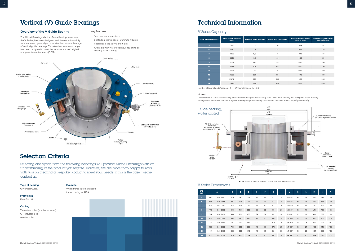N.B side entry cooler illustrated: however, if required, a top entrycooler can be supplied

## Vertical (V) Guide Bearings

#### **Overview of the V Guide Bearing The Cover of the V Guide Bearing The Cover of Key features:**

- Ten bearing frame sizes • Shaft diameter range of 96mm to 480mm
- Radial load capacity up to 68kN
- Available with water cooling, circulating oil cooling or air cooling

The Michell Bearings Vertical Guide Bearing, known as the V Series, has been designed and developed as a fully self-contained, general purpose, standard assembly range of vertical guide bearings. This standard economic range has been designed to meet the requirements of original equipment manufacturers (OEM).

## Selection Criteria

Selecting one option from the following headings will provide Michell Bearings with an understanding of the product you require. However, we are more than happy to work with you on creating a bespoke product to meet your needs; if this is the case, please contact us.

\* The maximum radial load can vary, and is dependent upon the viscosity of oil used in the bearing and the speed of the rotating collar journal. Therefore the above figures are for your guidance only - based on a unit load of 1723 kN/m<sup>2</sup> (250 lbs/in<sup>2</sup>)

### **Type of bearing**

G (Vertical Guide)

**Frame size**

## From 5 to 14

#### **Cooling**

T – water cooled (number of tubes) C – circulating oil

- 
- A air cooled

**Example:** 

V with frame size 11 arranged for air cooling – **11GA** 

## Technical Information

### V Series Capacity

| <b>STANDARD FRAME SIZE</b> | <b>Mean Surface Projected</b><br>(mm <sup>2</sup> ) | <b>Maximum Radial *Load kN</b> | Journal Axial Length (mm) | <b>Nominal Diametric Clear-</b><br>ance CD (mm) | Guide Bearing Max. Shaft/<br>Sleeve Dia. (mm) |
|----------------------------|-----------------------------------------------------|--------------------------------|---------------------------|-------------------------------------------------|-----------------------------------------------|
| 5                          | 2026                                                | 2,5                            | 28.5                      | 0,14                                            | 96                                            |
| 6                          | 3030                                                | 3,8                            | 35                        | 0,15                                            | 120                                           |
| $\overline{7}$             | 4056                                                | 5,0                            | 40                        | 0,18                                            | 140                                           |
| 8                          | 5345                                                | 9,2                            | 46                        | 0,20                                            | 160                                           |
| $\overline{9}$             | 8391                                                | 14,5                           | 58                        | 0,25                                            | 200                                           |
| 10 <sub>o</sub>            | 11814                                               | 20,4                           | 68                        | 0,30                                            | 250                                           |
| 11                         | 15817                                               | 27,3                           | 78                        | 0,35                                            | 280                                           |
| 12                         | 21328                                               | 36,8                           | 95                        | 0,40                                            | 320                                           |
| 13                         | 25878                                               | 44,3                           | 100                       | 0,45                                            | 380                                           |
| 14                         | 39445                                               | 68,0                           | 125                       | 0,55                                            | 480                                           |

Number of journal pads/bearing =  $8 \mid$  Whitemetal angle ( $\text{fs}$ ) =  $26^\circ$ 

#### **Notes:**

| <b>STD</b><br>NO. |      | $\mathbf{A}$       | B   | $\mathbf{C}$ | D   | Е   | F.  | G   | н  | J          | K               | L. | M   | N   | ١P  |
|-------------------|------|--------------------|-----|--------------|-----|-----|-----|-----|----|------------|-----------------|----|-----|-----|-----|
| 5                 | 340  | $-0.0 - 0.043$     | 279 | 96           | 273 | 42  | 36  | 122 | 15 | $1/2"$ BSP | 10 <sup>°</sup> | 15 | M12 | 310 | 80  |
| 6                 | 376  | $-0.0 - 0.046$     | 316 | 120          | 310 | 47  | 42  | 132 | 15 | $1/2"$ BSP | 10 <sup>°</sup> | 15 | M12 | 346 | 80  |
| $\overline{7}$    | 434  | $-0.0$<br>$-0.046$ | 364 | 140          | 358 | 49  | 45  | 147 | 20 | $1/2"$ BSP | 10              | 19 | M16 | 400 | 80  |
| 8                 | 470  | $-0.0 - 0.056$     | 396 | 160          | 390 | 55  | 50  | 170 | 20 | $1/2"$ BSP | 12              | 19 | M16 | 436 | 85  |
| $\overline{9}$    | 534  | $-0.0 - 0.056$     | 466 | 200          | 460 | 64  | 54  | 197 | 20 | $1/2"$ BSP | 12              | 19 | M16 | 500 | 90  |
| 10 <sub>o</sub>   | 642  | $-0.0 - 0.056$     | 558 | 250          | 552 | 80  | 70  | 227 | 25 | 3/4" BSP   | 12              | 24 | M20 | 600 | 105 |
| 11                | 700  | $-0.0 -0.061$      | 616 | 280          | 610 | 100 | 85  | 252 | 25 | 3/4" BSP   | 12              | 24 | M20 | 658 | 115 |
| 12                | 788  | $-0.0 - 0.066$     | 704 | 320          | 698 | 110 | 100 | 272 | 25 | 3/4" BSP   | 12              | 24 | M20 | 746 | 125 |
| 13                | 914  | $-0.0 - 0.071$     | 822 | 380          | 813 | 110 | 105 | 312 | 30 | 3/4" BSP   | 12              | 28 | M24 | 868 | 135 |
| 14                | 1018 | $-0.0 - 0.074$     | 924 | 480          | 914 | 120 | 115 | 352 | 36 | 3/4" BSP   | 12              | 28 | M24 | 972 | 165 |

#### V Series Dimensions